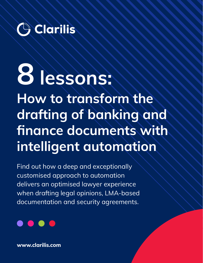

# **8 lessons:**

**How to transform the drafting of banking and finance documents with intelligent automation**

Find out how a deep and exceptionally customised approach to automation delivers an optimised lawyer experience when drafting legal opinions, LMA-based documentation and security agreements.



**www.clarilis.com**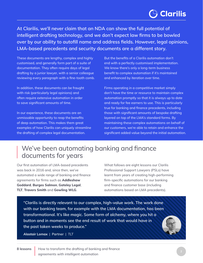### **Clarilis** وَ

**At Clarilis, we'll never claim that an NDA can show the full potential of intelligent drafting technology, and we don't expect law firms to be bowled over by our ability to autofill name and address fields. However, legal opinions, LMA-based precedents and security documents are a different story.**

These documents are lengthy, complex and highly customised, and generally form part of a suite of documentation. They often require days of legal drafting by a junior lawyer, with a senior colleague reviewing every paragraph with a fine-tooth comb.

In addition, these documents can be fraught with risk (particularly legal opinions) and often require extensive automation in order to save significant amounts of time.

In our experience, these documents are an unmissable opportunity to reap the benefits of deep automation. This makes them great examples of how Clarilis can uniquely streamline the drafting of complex legal documentation.

But the benefits of a Clarilis automation don't end with a perfectly customised implementation. We know there's only a long-term business benefit to complex automation if it's maintained and enhanced by iteration over time.

Firms operating in a competitive market simply don't have the time or resource to maintain complex automation promptly so that it is always up to date and ready for fee earners to use. This is particularly true for banking and finance precedents, including those with significant amounts of bespoke drafting layered on top of the LMA's standard forms. By maintaining these complex automations on behalf of our customers, we're able to retain and enhance the significant added value beyond the initial automation.

#### We've been automating banking and finance documents for years

Our first automation of LMA-based precedents was back in 2016 and, since then, we've automated a wide range of banking and finance agreements for firms such as **Addleshaw Goddard**, **Burges Salmon**, **Gateley Legal**, **TLT**, **Travers Smith** and **Gowling WLG**.

What follows are eight lessons our Clarilis Professional Support Lawyers (PSLs) have learnt from years of creating high-performing firm-specific automations for our banking and finance customer base (including automations based on LMA precedents).

**"Clarilis is directly relevant to our complex, high-value work. The work done with our banking team, for example with the LMA documentation, has been transformational. It's like magic. Some form of alchemy, where you hit a button and in moments see the end result of work that would have in the past taken weeks to produce."**

**Alastair Lomax** | **Partner** | *TLT*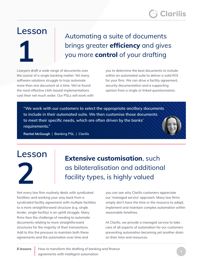#### **Lesson**

**1**

Automating a suite of documents brings greater **efficiency** and gives you more **control** of your drafting

Lawyers draft a wide range of documents over the course of a single banking matter. Yet many software solutions struggle to truly automate more than one document at a time. We've found the most effective LMA-based implementations cast their net much wider. Our PSLs will work with you to determine the best documents to include within an automated suite to deliver a solid ROI for your firm. We can drive a facility agreement, security documentation and a supporting opinion from a single or linked questionnaires.

**"We work with our customers to select the appropriate ancillary documents to include in their automated suite. We then customise those documents to meet their specific needs, which are often driven by the banks' requirements."**

**Rachel McGough** | **Banking PSL** | *Clarilis*

## **Lesson 2**

**Extensive customisation**, such as bilateralisation and additional facility types, is highly valued

Not every law firm routinely deals with syndicated facilities; and working your way back from a syndicated facility agreement with multiple facilities to a more straightforward structure (e.g. single lender, single facility) is an uphill struggle. Many firms face the challenge of needing to automate documents relating to more straightforward structures for the majority of their transactions. Add to this the pressure to maintain both these agreements and the automation over time and

you can see why Clarilis customers appreciate our 'managed service' approach. Many law firms simply don't have the time or the resource to adapt, implement and maintain complex automation within reasonable timelines.

At Clarilis, we provide a managed service to take care of all aspects of automation for our customers preventing automation becoming yet another drain on their time and resources.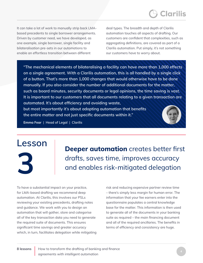

It can take a lot of work to manually strip back LMAbased precedents to single borrower arrangements. Driven by customer need, we have developed, as one example, single borrower, single facility and bilateralisation pre-sets in our automations to enable an effortless transition between different

deal types. The breadth and depth of Clarilis automation touches all aspects of drafting. Our customers are confident that complexities, such as aggregating definitions, are covered as part of a Clarilis automation. Put simply, it's not something our customers have to worry about.

**"The mechanical elements of bilateralising a facility can have more than 1,000 effects on a single agreement. With a Clarilis automation, this is all handled by a single click of a button. That's more than 1,000 changes that would otherwise have to be done manually. If you also consider the number of additional documents for the matter, such as board minutes, security documents or legal opinions, the time saving is vast. It is important to our customers that all documents relating to a given transaction are automated. It's about efficiency and avoiding waste, but most importantly it's about adopting automation that benefits the entire matter and not just specific documents within it."**

**Emma Fear** | **Head of Legal** | *Clarilis*

## **Lesson 3**

**Deeper automation** creates better first drafts, saves time, improves accuracy and enables risk-mitigated delegation

To have a substantial impact on your practice, for LMA-based drafting we recommend deep automation. At Clarilis, this involves our PSLs reviewing your existing precedents, drafting notes and guidance. We work with you to design an automation that will gather, store and categorise all of the key transaction data you need to generate the required suite of documents. This ensures significant time savings and greater accuracy which, in turn, facilitates delegation while mitigating

risk and reducing expensive partner review time – there's simply less margin for human error. The information that your fee earners enter into the questionnaire populates a central knowledge base for the matter. This information is then used to generate all of the documents in your banking suite as required – the main financing document and all of the required ancillaries. The benefits in terms of efficiency and consistency are huge.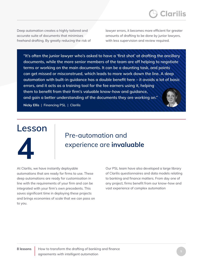

Deep automation creates a highly tailored and accurate suite of documents that minimises freehand drafting. By greatly reducing the risk of lawyer errors, it becomes more efficient for greater amounts of drafting to be done by junior lawyers, with less supervision and review required.

**"It's often the junior lawyer who's asked to have a 'first shot' at drafting the ancillary documents, while the more senior members of the team are off helping to negotiate terms or working on the main documents. It can be a daunting task, and points can get missed or misconstrued, which leads to more work down the line. A deep automation with built-in guidance has a double benefit here – it avoids a lot of basic errors, and it acts as a training tool for the fee earners using it, helping them to benefit from their firm's valuable know-how and guidance, and gain a better understanding of the documents they are working on." Nicky Ellis** | **Financing PSL** | *Clarilis*

## **Lesson 4**

#### Pre-automation and experience are **invaluable**

At Clarilis, we have instantly deployable automations that are ready for firms to use. These deep automations are ready for customisation in line with the requirements of your firm and can be integrated with your firm's own precedents. This saves significant time in deploying these projects and brings economies of scale that we can pass on to you.

Our PSL team have also developed a large library of Clarilis questionnaires and data models relating to banking and finance matters. From day one of any project, firms benefit from our know-how and vast experience of complex automation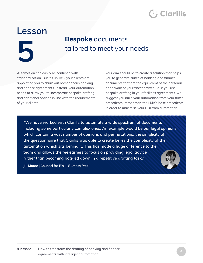#### **Lesson**

**5**

#### **Bespoke** documents tailored to meet your needs

Automation can easily be confused with standardisation. But it's unlikely your clients are appointing you to churn out homogenous banking and finance agreements. Instead, your automation needs to allow you to incorporate bespoke drafting and additional options in line with the requirements of your clients.

Your aim should be to create a solution that helps you to generate suites of banking and finance documents that are the equivalent of the personal handiwork of your finest drafter. So, if you use bespoke drafting in your facilities agreements, we suggest you build your automation from your firm's precedents (rather than the LMA's base precedents) in order to maximise your ROI from automation.

**"We have worked with Clarilis to automate a wide spectrum of documents including some particularly complex ones. An example would be our legal opinions, which contain a vast number of opinions and permutations: the simplicity of the questionnaire that Clarilis was able to create belies the complexity of the automation which sits behind it. This has made a huge difference to the team and allows the fee earners to focus on providing legal advice rather than becoming bogged down in a repetitive drafting task."**

**Jill Moore** | **Counsel for Risk** | *Burness Paull*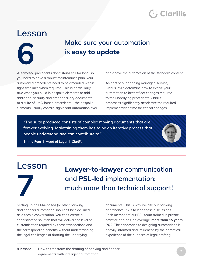### **Lesson**

**6**

#### **Make sure your automation is easy to update**

Automated precedents don't stand still for long, so you need to have a robust maintenance plan. Your automated precedents need to be amended within tight timelines when required. This is particularly true when you build in bespoke elements or add additional security and other ancillary documents to a suite of LMA-based precedents – the bespoke elements usually contain significant automation over and above the automation of the standard content.

As part of our ongoing managed service, Clarilis PSLs determine how to evolve your automation to best reflect changes required to the underlying precedents. Clarilis' processes significantly accelerate the required implementation time for critical changes.

**"The suite produced consists of complex moving documents that are forever evolving. Maintaining them has to be an iterative process that people understand and can contribute to."**

**Emma Fear** | **Head of Legal** | *Clarilis*

#### **Lesson**



**Lawyer-to-lawyer communication and PSL-led implementation: much more than technical support!**

Setting up an LMA-based (or other banking and finance) automation shouldn't be side-lined as a techie conversation. You can't create a sophisticated solution that will deliver the level of customisation required by these transactions and the corresponding benefits without understanding the legal challenges of drafting the underlying

documents. This is why we ask our banking and finance PSLs to lead these discussions. Each member of our PSL team trained in private practice and has, on average, **more than 15 years PQE**. Their approach to designing automations is heavily informed and influenced by their practical experience of the nuances of legal drafting.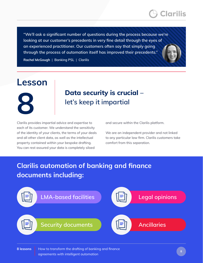

**"We'll ask a significant number of questions during the process because we're looking at our customer's precedents in very fine detail through the eyes of an experienced practitioner. Our customers often say that simply going through the process of automation itself has improved their precedents."** 

**Rachel McGough** | **Banking PSL** | *Clarilis*

#### **Lesson**



#### **Data security is crucial – let's keep it impartial**

Clarilis provides impartial advice and expertise to each of its customer. We understand the sensitivity of the identity of your clients, the terms of your deals and all other client data, as well as the intellectual property contained within your bespoke drafting. You can rest assured your data is completely siloed

and secure within the Clarilis platform.

We are an independent provider and not linked to any particular law firm. Clarilis customers take comfort from this separation.

#### **Clarilis automation of banking and finance documents including:**